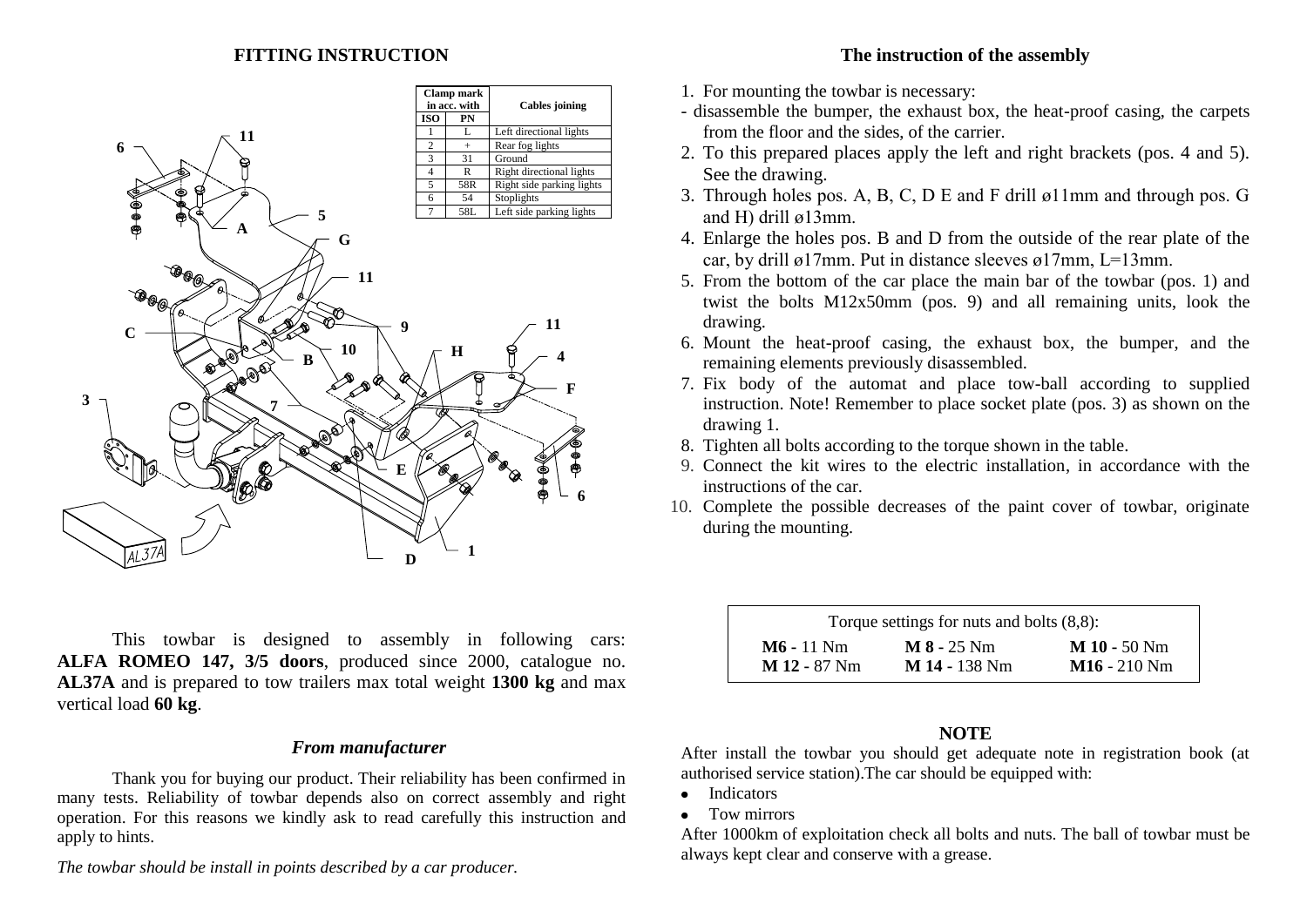### **FITTING INSTRUCTION**



This towbar is designed to assembly in following cars: **ALFA ROMEO 147, 3/5 doors**, produced since 2000, catalogue no. **AL37A** and is prepared to tow trailers max total weight **1300 kg** and max vertical load **60 kg**.

### *From manufacturer*

Thank you for buying our product. Their reliability has been confirmed in many tests. Reliability of towbar depends also on correct assembly and right operation. For this reasons we kindly ask to read carefully this instruction and apply to hints.

*The towbar should be install in points described by a car producer.*

### **The instruction of the assembly**

- 1. For mounting the towbar is necessary:
- disassemble the bumper, the exhaust box, the heat-proof casing, the carpets from the floor and the sides, of the carrier.
- 2. To this prepared places apply the left and right brackets (pos. 4 and 5). See the drawing.
- 3. Through holes pos. A, B, C, D E and F drill ø11mm and through pos. G and H) drill ø13mm.
- 4. Enlarge the holes pos. B and D from the outside of the rear plate of the car, by drill ø17mm. Put in distance sleeves ø17mm, L=13mm.
- 5. From the bottom of the car place the main bar of the towbar (pos. 1) and twist the bolts M12x50mm (pos. 9) and all remaining units, look the drawing.
- 6. Mount the heat-proof casing, the exhaust box, the bumper, and the remaining elements previously disassembled.
- 7. Fix body of the automat and place tow-ball according to supplied instruction. Note! Remember to place socket plate (pos. 3) as shown on the drawing 1.
- 8. Tighten all bolts according to the torque shown in the table.
- 9. Connect the kit wires to the electric installation, in accordance with the instructions of the car.
- 10. Complete the possible decreases of the paint cover of towbar, originate during the mounting.

| Torque settings for nuts and bolts $(8,8)$ : |                 |                |  |
|----------------------------------------------|-----------------|----------------|--|
| $M6 - 11$ Nm                                 | $M 8 - 25 Nm$   | $M$ 10 - 50 Nm |  |
| $M$ 12 - 87 Nm                               | $M$ 14 - 138 Nm | $M16 - 210 Nm$ |  |

### **NOTE**

After install the towbar you should get adequate note in registration book (at authorised service station).The car should be equipped with:

- Indicators
- Tow mirrors

After 1000km of exploitation check all bolts and nuts. The ball of towbar must be always kept clear and conserve with a grease.